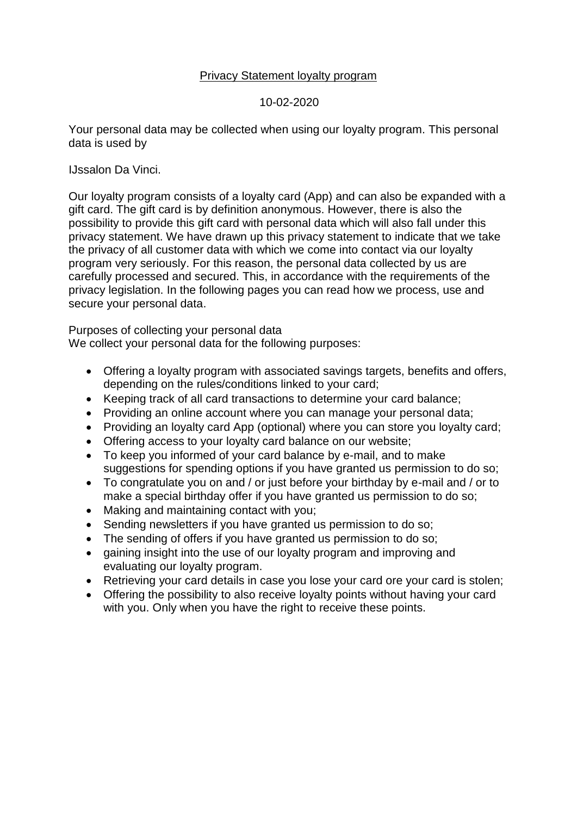## Privacy Statement loyalty program

#### 10-02-2020

Your personal data may be collected when using our loyalty program. This personal data is used by

IJssalon Da Vinci.

Our loyalty program consists of a loyalty card (App) and can also be expanded with a gift card. The gift card is by definition anonymous. However, there is also the possibility to provide this gift card with personal data which will also fall under this privacy statement. We have drawn up this privacy statement to indicate that we take the privacy of all customer data with which we come into contact via our loyalty program very seriously. For this reason, the personal data collected by us are carefully processed and secured. This, in accordance with the requirements of the privacy legislation. In the following pages you can read how we process, use and secure your personal data.

Purposes of collecting your personal data

We collect your personal data for the following purposes:

- Offering a loyalty program with associated savings targets, benefits and offers, depending on the rules/conditions linked to your card;
- Keeping track of all card transactions to determine your card balance;
- Providing an online account where you can manage your personal data;
- Providing an loyalty card App (optional) where you can store you loyalty card;
- Offering access to your loyalty card balance on our website;
- To keep you informed of your card balance by e-mail, and to make suggestions for spending options if you have granted us permission to do so;
- To congratulate you on and / or just before your birthday by e-mail and / or to make a special birthday offer if you have granted us permission to do so;
- Making and maintaining contact with you;
- Sending newsletters if you have granted us permission to do so;
- The sending of offers if you have granted us permission to do so;
- gaining insight into the use of our loyalty program and improving and evaluating our loyalty program.
- Retrieving your card details in case you lose your card ore your card is stolen;
- Offering the possibility to also receive loyalty points without having your card with you. Only when you have the right to receive these points.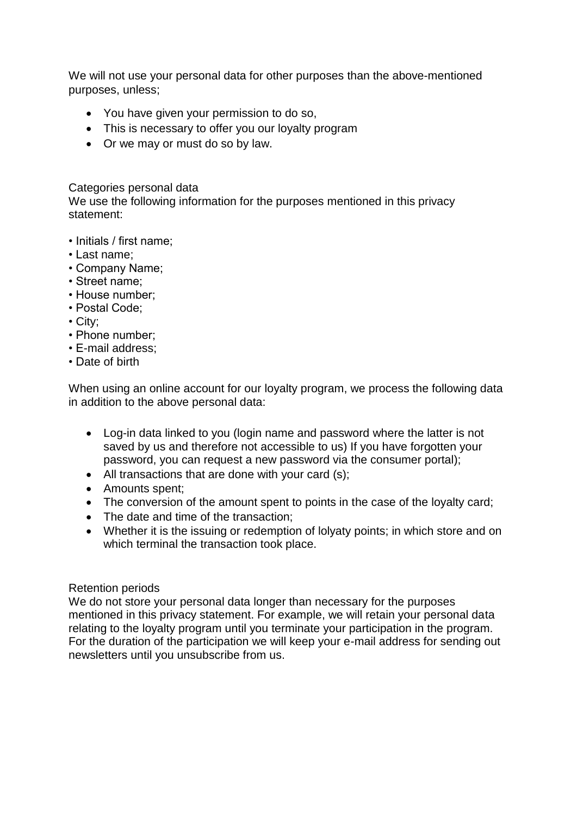We will not use your personal data for other purposes than the above-mentioned purposes, unless;

- You have given your permission to do so,
- This is necessary to offer you our loyalty program
- Or we may or must do so by law.

### Categories personal data

We use the following information for the purposes mentioned in this privacy statement:

- Initials / first name;
- Last name;
- Company Name;
- Street name;
- House number;
- Postal Code;
- City;
- Phone number;
- E-mail address;
- Date of birth

When using an online account for our loyalty program, we process the following data in addition to the above personal data:

- Log-in data linked to you (login name and password where the latter is not saved by us and therefore not accessible to us) If you have forgotten your password, you can request a new password via the consumer portal);
- All transactions that are done with your card (s);
- Amounts spent;
- The conversion of the amount spent to points in the case of the loyalty card;
- The date and time of the transaction;
- Whether it is the issuing or redemption of lolyaty points; in which store and on which terminal the transaction took place.

# Retention periods

We do not store your personal data longer than necessary for the purposes mentioned in this privacy statement. For example, we will retain your personal data relating to the loyalty program until you terminate your participation in the program. For the duration of the participation we will keep your e-mail address for sending out newsletters until you unsubscribe from us.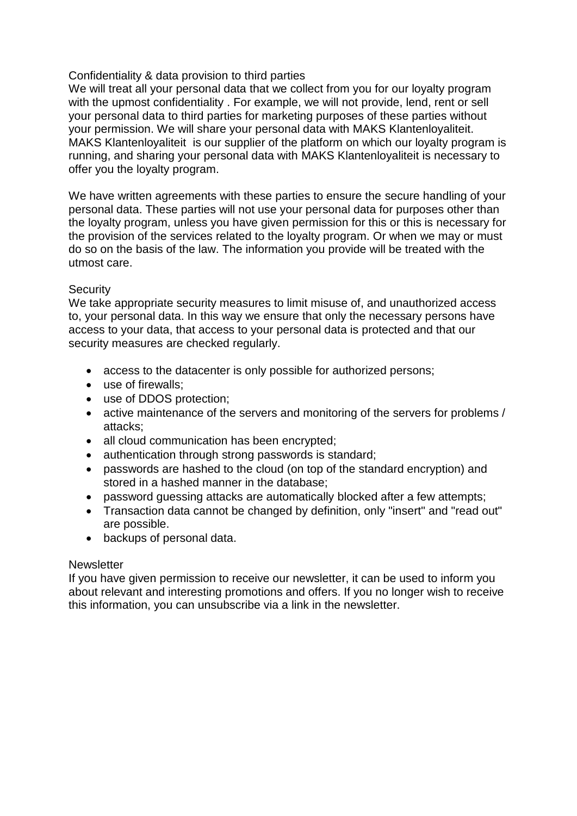# Confidentiality & data provision to third parties

We will treat all your personal data that we collect from you for our loyalty program with the upmost confidentiality . For example, we will not provide, lend, rent or sell your personal data to third parties for marketing purposes of these parties without your permission. We will share your personal data with MAKS Klantenloyaliteit. MAKS Klantenloyaliteit is our supplier of the platform on which our loyalty program is running, and sharing your personal data with MAKS Klantenloyaliteit is necessary to offer you the loyalty program.

We have written agreements with these parties to ensure the secure handling of your personal data. These parties will not use your personal data for purposes other than the loyalty program, unless you have given permission for this or this is necessary for the provision of the services related to the loyalty program. Or when we may or must do so on the basis of the law. The information you provide will be treated with the utmost care.

# **Security**

We take appropriate security measures to limit misuse of, and unauthorized access to, your personal data. In this way we ensure that only the necessary persons have access to your data, that access to your personal data is protected and that our security measures are checked regularly.

- access to the datacenter is only possible for authorized persons;
- use of firewalls;
- use of DDOS protection;
- active maintenance of the servers and monitoring of the servers for problems / attacks;
- all cloud communication has been encrypted;
- authentication through strong passwords is standard;
- passwords are hashed to the cloud (on top of the standard encryption) and stored in a hashed manner in the database;
- password guessing attacks are automatically blocked after a few attempts;
- Transaction data cannot be changed by definition, only "insert" and "read out" are possible.
- backups of personal data.

# **Newsletter**

If you have given permission to receive our newsletter, it can be used to inform you about relevant and interesting promotions and offers. If you no longer wish to receive this information, you can unsubscribe via a link in the newsletter.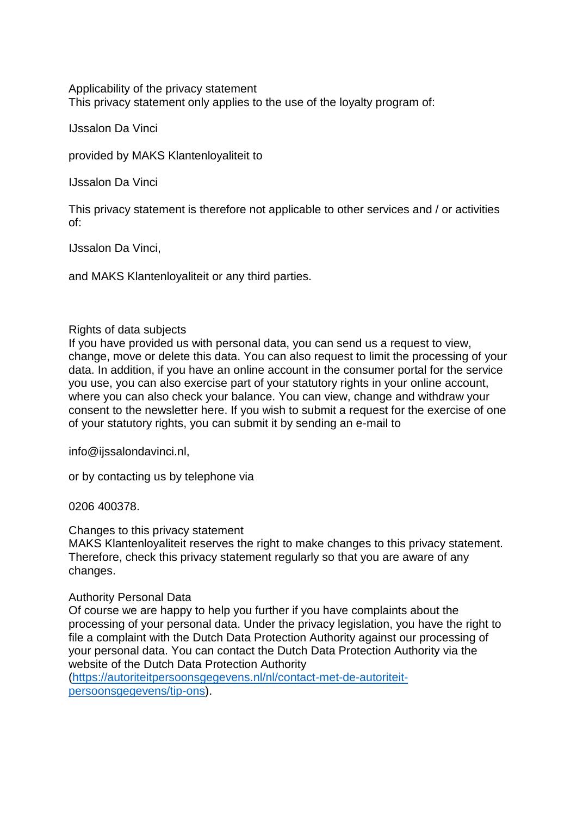Applicability of the privacy statement This privacy statement only applies to the use of the loyalty program of:

IJssalon Da Vinci

provided by MAKS Klantenloyaliteit to

IJssalon Da Vinci

This privacy statement is therefore not applicable to other services and / or activities of:

IJssalon Da Vinci,

and MAKS Klantenloyaliteit or any third parties.

#### Rights of data subjects

If you have provided us with personal data, you can send us a request to view, change, move or delete this data. You can also request to limit the processing of your data. In addition, if you have an online account in the consumer portal for the service you use, you can also exercise part of your statutory rights in your online account, where you can also check your balance. You can view, change and withdraw your consent to the newsletter here. If you wish to submit a request for the exercise of one of your statutory rights, you can submit it by sending an e-mail to

info@ijssalondavinci.nl,

or by contacting us by telephone via

0206 400378.

Changes to this privacy statement

MAKS Klantenloyaliteit reserves the right to make changes to this privacy statement. Therefore, check this privacy statement regularly so that you are aware of any changes.

#### Authority Personal Data

Of course we are happy to help you further if you have complaints about the processing of your personal data. Under the privacy legislation, you have the right to file a complaint with the Dutch Data Protection Authority against our processing of your personal data. You can contact the Dutch Data Protection Authority via the website of the Dutch Data Protection Authority

(https://autoriteitpersoonsgegevens.nl/nl/contact-met-de-autoriteitpersoonsgegevens/tip-ons).